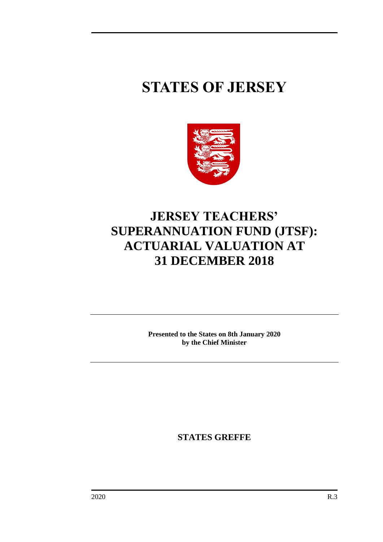# **STATES OF JERSEY**



# **JERSEY TEACHERS' SUPERANNUATION FUND (JTSF): ACTUARIAL VALUATION AT 31 DECEMBER 2018**

**Presented to the States on 8th January 2020 by the Chief Minister**

**STATES GREFFE**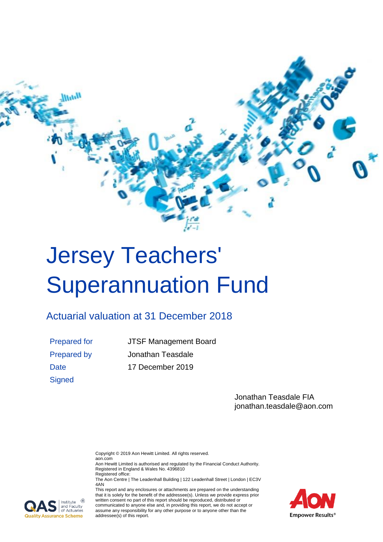

# <span id="page-2-0"></span>Jersey Teachers' Superannuation Fund

### <span id="page-2-1"></span>Actuarial valuation at 31 December 2018

**Signed** 

Prepared for JTSF Management Board Prepared by Jonathan Teasdale Date 17 December 2019

> Jonathan Teasdale FIA jonathan.teasdale@aon.com

Copyright © 2019 Aon Hewitt Limited. All rights reserved.

aon.com Aon Hewitt Limited is authorised and regulated by the Financial Conduct Authority. Registered in England & Wales No. 4396810

Registered office: The Aon Centre | The Leadenhall Building | 122 Leadenhall Street | London | EC3V 4AN

This report and any enclosures or attachments are prepared on the understanding that it is solely for the benefit of the addressee(s). Unless we provide express prior written consent no part of this report should be reproduced, distributed or communicated to anyone else and, in providing this report, we do not accept or assume any responsibility for any other purpose or to anyone other than the addressee(s) of this report.



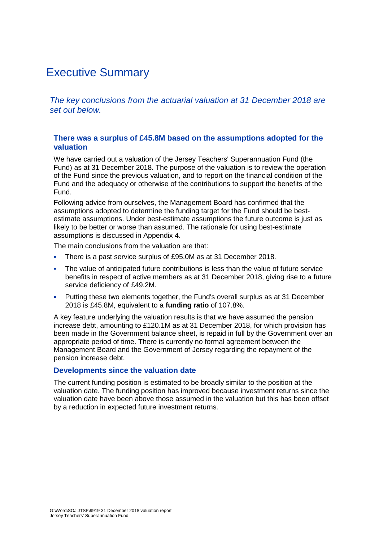### Executive Summary

*The key conclusions from the actuarial valuation at 31 December 2018 are set out below.*

### **There was a surplus of £45.8M based on the assumptions adopted for the valuation**

We have carried out a valuation of the Jersey Teachers' Superannuation Fund (the Fund) as at 31 December 2018. The purpose of the valuation is to review the operation of the Fund since the previous valuation, and to report on the financial condition of the Fund and the adequacy or otherwise of the contributions to support the benefits of the Fund.

Following advice from ourselves, the Management Board has confirmed that the assumptions adopted to determine the funding target for the Fund should be bestestimate assumptions. Under best-estimate assumptions the future outcome is just as likely to be better or worse than assumed. The rationale for using best-estimate assumptions is discussed in Appendix 4.

The main conclusions from the valuation are that:

- **•** There is a past service surplus of £95.0M as at 31 December 2018.
- **•** The value of anticipated future contributions is less than the value of future service benefits in respect of active members as at 31 December 2018, giving rise to a future service deficiency of £49.2M.
- **•** Putting these two elements together, the Fund's overall surplus as at 31 December 2018 is £45.8M, equivalent to a **funding ratio** of 107.8%.

A key feature underlying the valuation results is that we have assumed the pension increase debt, amounting to £120.1M as at 31 December 2018, for which provision has been made in the Government balance sheet, is repaid in full by the Government over an appropriate period of time. There is currently no formal agreement between the Management Board and the Government of Jersey regarding the repayment of the pension increase debt.

#### **Developments since the valuation date**

The current funding position is estimated to be broadly similar to the position at the valuation date. The funding position has improved because investment returns since the valuation date have been above those assumed in the valuation but this has been offset by a reduction in expected future investment returns.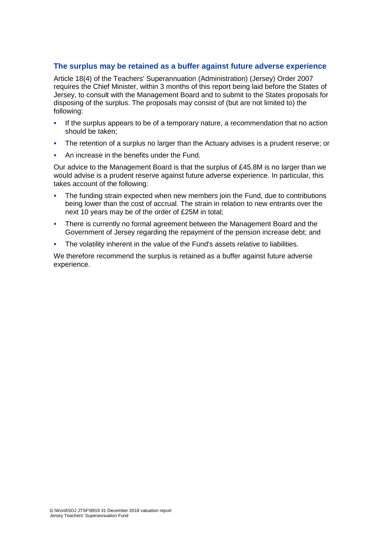### **The surplus may be retained as a buffer against future adverse experience**

Article 18(4) of the Teachers' Superannuation (Administration) (Jersey) Order 2007 requires the Chief Minister, within 3 months of this report being laid before the States of Jersey, to consult with the Management Board and to submit to the States proposals for disposing of the surplus. The proposals may consist of (but are not limited to) the following:

- **.** If the surplus appears to be of a temporary nature, a recommendation that no action should be taken;
- **•** The retention of a surplus no larger than the Actuary advises is a prudent reserve; or
- An increase in the benefits under the Fund.

Our advice to the Management Board is that the surplus of £45.8M is no larger than we would advise is a prudent reserve against future adverse experience. In particular, this takes account of the following:

- **•** The funding strain expected when new members join the Fund, due to contributions being lower than the cost of accrual. The strain in relation to new entrants over the next 10 years may be of the order of £25M in total;
- **•** There is currently no formal agreement between the Management Board and the Government of Jersey regarding the repayment of the pension increase debt; and
- The volatility inherent in the value of the Fund's assets relative to liabilities.

We therefore recommend the surplus is retained as a buffer against future adverse experience.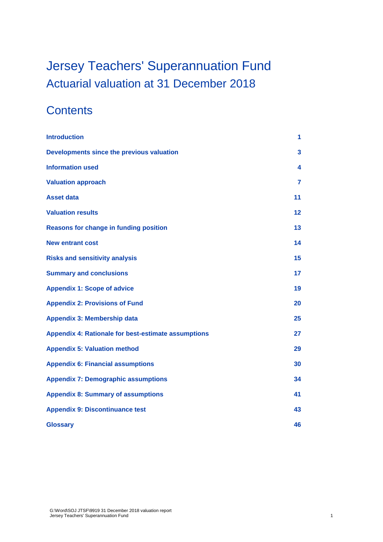# [Jersey Teachers' Superannuation Fund](#page-2-0) [Actuarial valuation at 31](#page-2-1) December 2018

### **Contents**

| <b>Introduction</b>                                 | 1              |
|-----------------------------------------------------|----------------|
| Developments since the previous valuation           | 3              |
| <b>Information used</b>                             | 4              |
| <b>Valuation approach</b>                           | $\overline{7}$ |
| <b>Asset data</b>                                   | 11             |
| <b>Valuation results</b>                            | 12             |
| <b>Reasons for change in funding position</b>       | 13             |
| <b>New entrant cost</b>                             | 14             |
| <b>Risks and sensitivity analysis</b>               | 15             |
| <b>Summary and conclusions</b>                      | 17             |
| <b>Appendix 1: Scope of advice</b>                  | 19             |
| <b>Appendix 2: Provisions of Fund</b>               | 20             |
| <b>Appendix 3: Membership data</b>                  | 25             |
| Appendix 4: Rationale for best-estimate assumptions | 27             |
| <b>Appendix 5: Valuation method</b>                 | 29             |
| <b>Appendix 6: Financial assumptions</b>            | 30             |
| <b>Appendix 7: Demographic assumptions</b>          | 34             |
| <b>Appendix 8: Summary of assumptions</b>           | 41             |
| <b>Appendix 9: Discontinuance test</b>              | 43             |
| <b>Glossary</b>                                     | 46             |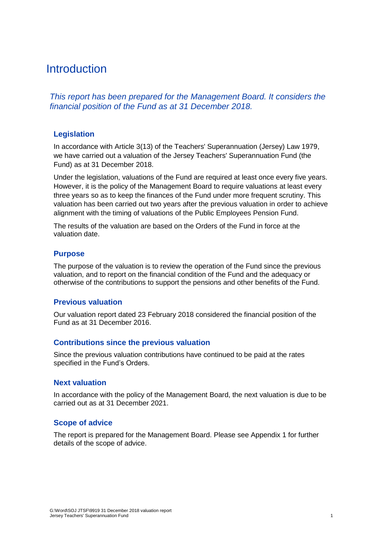### <span id="page-6-0"></span>**Introduction**

*This report has been prepared for the Management Board. It considers the financial position of the Fund as at 31 December 2018.*

### **Legislation**

In accordance with Article 3(13) of the Teachers' Superannuation (Jersey) Law 1979, we have carried out a valuation of the Jersey Teachers' Superannuation Fund (the Fund) as at 31 December 2018.

Under the legislation, valuations of the Fund are required at least once every five years. However, it is the policy of the Management Board to require valuations at least every three years so as to keep the finances of the Fund under more frequent scrutiny. This valuation has been carried out two years after the previous valuation in order to achieve alignment with the timing of valuations of the Public Employees Pension Fund.

The results of the valuation are based on the Orders of the Fund in force at the valuation date.

#### **Purpose**

The purpose of the valuation is to review the operation of the Fund since the previous valuation, and to report on the financial condition of the Fund and the adequacy or otherwise of the contributions to support the pensions and other benefits of the Fund.

#### **Previous valuation**

Our valuation report dated 23 February 2018 considered the financial position of the Fund as at 31 December 2016.

#### **Contributions since the previous valuation**

Since the previous valuation contributions have continued to be paid at the rates specified in the Fund's Orders.

#### **Next valuation**

In accordance with the policy of the Management Board, the next valuation is due to be carried out as at 31 December 2021.

### **Scope of advice**

The report is prepared for the Management Board. Please see Appendix 1 for further details of the scope of advice.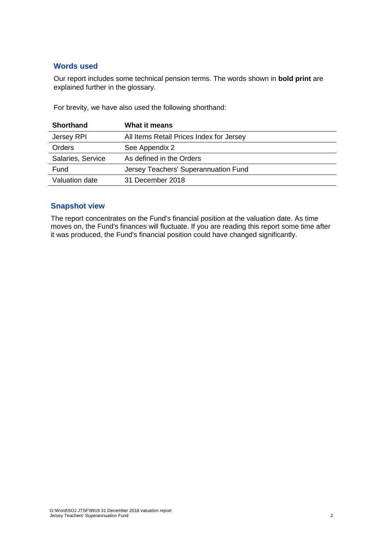### **Words used**

Our report includes some technical pension terms. The words shown in **bold print** are explained further in the glossary.

For brevity, we have also used the following shorthand:

| <b>Shorthand</b>  | What it means                            |
|-------------------|------------------------------------------|
| Jersey RPI        | All Items Retail Prices Index for Jersey |
| <b>Orders</b>     | See Appendix 2                           |
| Salaries, Service | As defined in the Orders                 |
| Fund              | Jersey Teachers' Superannuation Fund     |
| Valuation date    | 31 December 2018                         |

### **Snapshot view**

The report concentrates on the Fund's financial position at the valuation date. As time moves on, the Fund's finances will fluctuate. If you are reading this report some time after it was produced, the Fund's financial position could have changed significantly.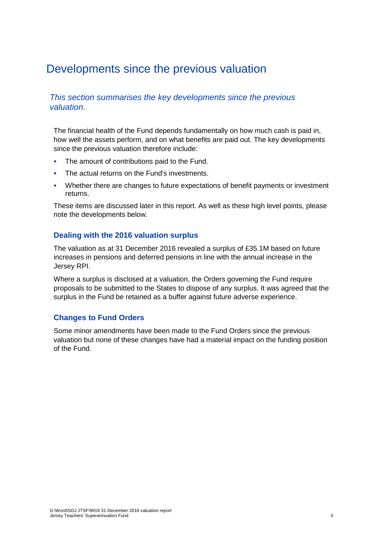### <span id="page-8-0"></span>Developments since the previous valuation

### *This section summarises the key developments since the previous valuation.*

The financial health of the Fund depends fundamentally on how much cash is paid in, how well the assets perform, and on what benefits are paid out. The key developments since the previous valuation therefore include:

- **•** The amount of contributions paid to the Fund.
- **The actual returns on the Fund's investments.**
- Whether there are changes to future expectations of benefit payments or investment returns.

These items are discussed later in this report. As well as these high level points, please note the developments below.

### **Dealing with the 2016 valuation surplus**

The valuation as at 31 December 2016 revealed a surplus of £35.1M based on future increases in pensions and deferred pensions in line with the annual increase in the Jersey RPI.

Where a surplus is disclosed at a valuation, the Orders governing the Fund require proposals to be submitted to the States to dispose of any surplus. It was agreed that the surplus in the Fund be retained as a buffer against future adverse experience.

### **Changes to Fund Orders**

Some minor amendments have been made to the Fund Orders since the previous valuation but none of these changes have had a material impact on the funding position of the Fund.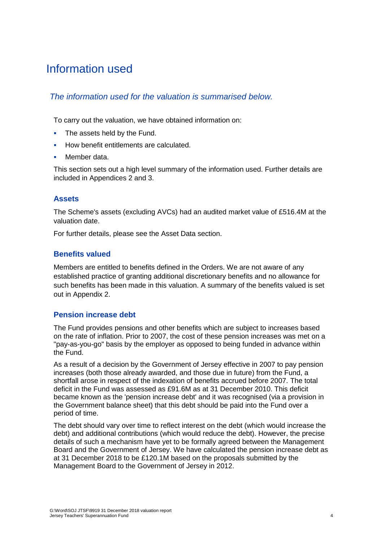### <span id="page-9-0"></span>Information used

### *The information used for the valuation is summarised below.*

To carry out the valuation, we have obtained information on:

- **•** The assets held by the Fund.
- How benefit entitlements are calculated.
- Member data.

This section sets out a high level summary of the information used. Further details are included in Appendices 2 and 3.

### **Assets**

The Scheme's assets (excluding AVCs) had an audited market value of £516.4M at the valuation date.

For further details, please see the Asset Data section.

### **Benefits valued**

Members are entitled to benefits defined in the Orders. We are not aware of any established practice of granting additional discretionary benefits and no allowance for such benefits has been made in this valuation. A summary of the benefits valued is set out in Appendix 2.

### **Pension increase debt**

The Fund provides pensions and other benefits which are subject to increases based on the rate of inflation. Prior to 2007, the cost of these pension increases was met on a "pay-as-you-go" basis by the employer as opposed to being funded in advance within the Fund.

As a result of a decision by the Government of Jersey effective in 2007 to pay pension increases (both those already awarded, and those due in future) from the Fund, a shortfall arose in respect of the indexation of benefits accrued before 2007. The total deficit in the Fund was assessed as £91.6M as at 31 December 2010. This deficit became known as the 'pension increase debt' and it was recognised (via a provision in the Government balance sheet) that this debt should be paid into the Fund over a period of time.

The debt should vary over time to reflect interest on the debt (which would increase the debt) and additional contributions (which would reduce the debt). However, the precise details of such a mechanism have yet to be formally agreed between the Management Board and the Government of Jersey. We have calculated the pension increase debt as at 31 December 2018 to be £120.1M based on the proposals submitted by the Management Board to the Government of Jersey in 2012.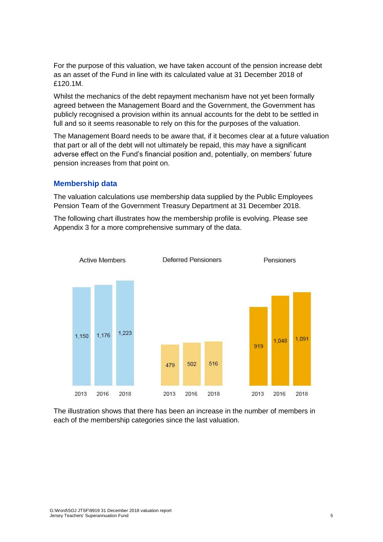For the purpose of this valuation, we have taken account of the pension increase debt as an asset of the Fund in line with its calculated value at 31 December 2018 of £120.1M.

Whilst the mechanics of the debt repayment mechanism have not yet been formally agreed between the Management Board and the Government, the Government has publicly recognised a provision within its annual accounts for the debt to be settled in full and so it seems reasonable to rely on this for the purposes of the valuation.

The Management Board needs to be aware that, if it becomes clear at a future valuation that part or all of the debt will not ultimately be repaid, this may have a significant adverse effect on the Fund's financial position and, potentially, on members' future pension increases from that point on.

### **Membership data**

The valuation calculations use membership data supplied by the Public Employees Pension Team of the Government Treasury Department at 31 December 2018.

The following chart illustrates how the membership profile is evolving. Please see Appendix 3 for a more comprehensive summary of the data.



The illustration shows that there has been an increase in the number of members in each of the membership categories since the last valuation.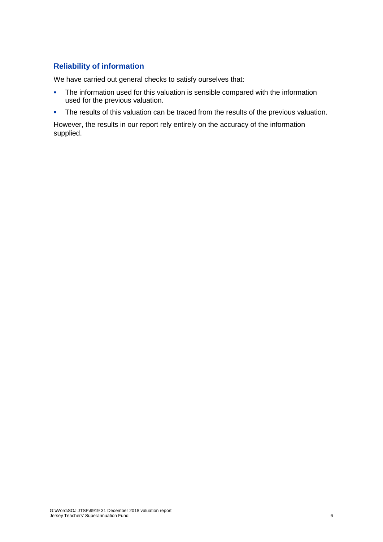### **Reliability of information**

We have carried out general checks to satisfy ourselves that:

- **•** The information used for this valuation is sensible compared with the information used for the previous valuation.
- **•** The results of this valuation can be traced from the results of the previous valuation.

However, the results in our report rely entirely on the accuracy of the information supplied.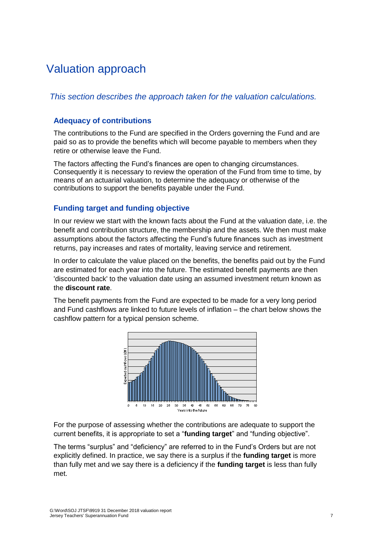### <span id="page-12-0"></span>Valuation approach

*This section describes the approach taken for the valuation calculations.*

### **Adequacy of contributions**

The contributions to the Fund are specified in the Orders governing the Fund and are paid so as to provide the benefits which will become payable to members when they retire or otherwise leave the Fund.

The factors affecting the Fund's finances are open to changing circumstances. Consequently it is necessary to review the operation of the Fund from time to time, by means of an actuarial valuation, to determine the adequacy or otherwise of the contributions to support the benefits payable under the Fund.

### **Funding target and funding objective**

In our review we start with the known facts about the Fund at the valuation date, i.e. the benefit and contribution structure, the membership and the assets. We then must make assumptions about the factors affecting the Fund's future finances such as investment returns, pay increases and rates of mortality, leaving service and retirement.

In order to calculate the value placed on the benefits, the benefits paid out by the Fund are estimated for each year into the future. The estimated benefit payments are then 'discounted back' to the valuation date using an assumed investment return known as the **discount rate**.

The benefit payments from the Fund are expected to be made for a very long period and Fund cashflows are linked to future levels of inflation – the chart below shows the cashflow pattern for a typical pension scheme.



For the purpose of assessing whether the contributions are adequate to support the current benefits, it is appropriate to set a "**funding target**" and "funding objective".

The terms "surplus" and "deficiency" are referred to in the Fund's Orders but are not explicitly defined. In practice, we say there is a surplus if the **funding target** is more than fully met and we say there is a deficiency if the **funding target** is less than fully met.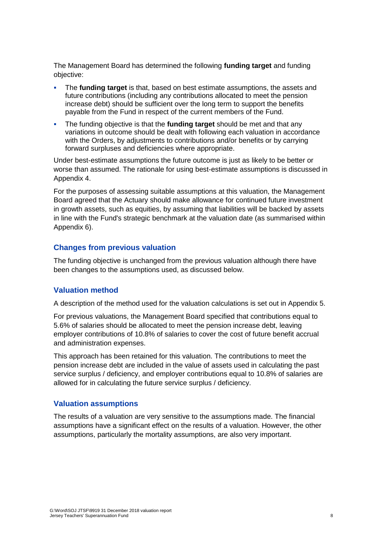The Management Board has determined the following **funding target** and funding objective:

- The **funding target** is that, based on best estimate assumptions, the assets and future contributions (including any contributions allocated to meet the pension increase debt) should be sufficient over the long term to support the benefits payable from the Fund in respect of the current members of the Fund.
- The funding objective is that the **funding target** should be met and that any variations in outcome should be dealt with following each valuation in accordance with the Orders, by adjustments to contributions and/or benefits or by carrying forward surpluses and deficiencies where appropriate.

Under best-estimate assumptions the future outcome is just as likely to be better or worse than assumed. The rationale for using best-estimate assumptions is discussed in Appendix 4.

For the purposes of assessing suitable assumptions at this valuation, the Management Board agreed that the Actuary should make allowance for continued future investment in growth assets, such as equities, by assuming that liabilities will be backed by assets in line with the Fund's strategic benchmark at the valuation date (as summarised within Appendix 6).

### **Changes from previous valuation**

The funding objective is unchanged from the previous valuation although there have been changes to the assumptions used, as discussed below.

### **Valuation method**

A description of the method used for the valuation calculations is set out in Appendix 5.

For previous valuations, the Management Board specified that contributions equal to 5.6% of salaries should be allocated to meet the pension increase debt, leaving employer contributions of 10.8% of salaries to cover the cost of future benefit accrual and administration expenses.

This approach has been retained for this valuation. The contributions to meet the pension increase debt are included in the value of assets used in calculating the past service surplus / deficiency, and employer contributions equal to 10.8% of salaries are allowed for in calculating the future service surplus / deficiency.

### **Valuation assumptions**

The results of a valuation are very sensitive to the assumptions made. The financial assumptions have a significant effect on the results of a valuation. However, the other assumptions, particularly the mortality assumptions, are also very important.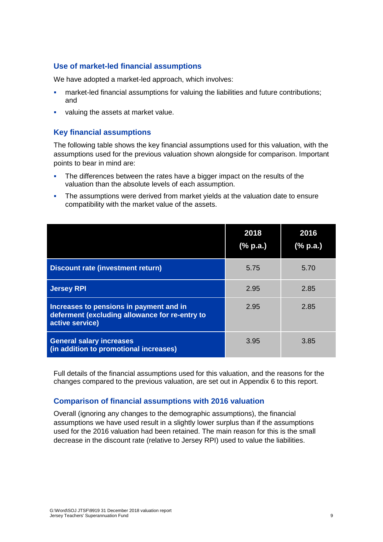### **Use of market-led financial assumptions**

We have adopted a market-led approach, which involves:

- market-led financial assumptions for valuing the liabilities and future contributions; and
- valuing the assets at market value.

### **Key financial assumptions**

The following table shows the key financial assumptions used for this valuation, with the assumptions used for the previous valuation shown alongside for comparison. Important points to bear in mind are:

- **•** The differences between the rates have a bigger impact on the results of the valuation than the absolute levels of each assumption.
- **•** The assumptions were derived from market yields at the valuation date to ensure compatibility with the market value of the assets.

|                                                                                                              | 2018<br>(% p.a.) | 2016<br>(% p.a.) |
|--------------------------------------------------------------------------------------------------------------|------------------|------------------|
| <b>Discount rate (investment return)</b>                                                                     | 5.75             | 5.70             |
| <b>Jersey RPI</b>                                                                                            | 2.95             | 2.85             |
| Increases to pensions in payment and in<br>deferment (excluding allowance for re-entry to<br>active service) | 2.95             | 2.85             |
| <b>General salary increases</b><br>(in addition to promotional increases)                                    | 3.95             | 3.85             |

Full details of the financial assumptions used for this valuation, and the reasons for the changes compared to the previous valuation, are set out in Appendix 6 to this report.

### **Comparison of financial assumptions with 2016 valuation**

Overall (ignoring any changes to the demographic assumptions), the financial assumptions we have used result in a slightly lower surplus than if the assumptions used for the 2016 valuation had been retained. The main reason for this is the small decrease in the discount rate (relative to Jersey RPI) used to value the liabilities.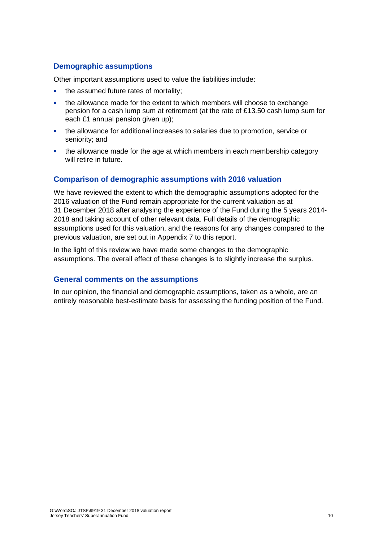### **Demographic assumptions**

Other important assumptions used to value the liabilities include:

- the assumed future rates of mortality;
- the allowance made for the extent to which members will choose to exchange pension for a cash lump sum at retirement (at the rate of £13.50 cash lump sum for each £1 annual pension given up);
- the allowance for additional increases to salaries due to promotion, service or seniority; and
- the allowance made for the age at which members in each membership category will retire in future.

### **Comparison of demographic assumptions with 2016 valuation**

We have reviewed the extent to which the demographic assumptions adopted for the 2016 valuation of the Fund remain appropriate for the current valuation as at 31 December 2018 after analysing the experience of the Fund during the 5 years 2014- 2018 and taking account of other relevant data. Full details of the demographic assumptions used for this valuation, and the reasons for any changes compared to the previous valuation, are set out in Appendix 7 to this report.

In the light of this review we have made some changes to the demographic assumptions. The overall effect of these changes is to slightly increase the surplus.

### **General comments on the assumptions**

In our opinion, the financial and demographic assumptions, taken as a whole, are an entirely reasonable best-estimate basis for assessing the funding position of the Fund.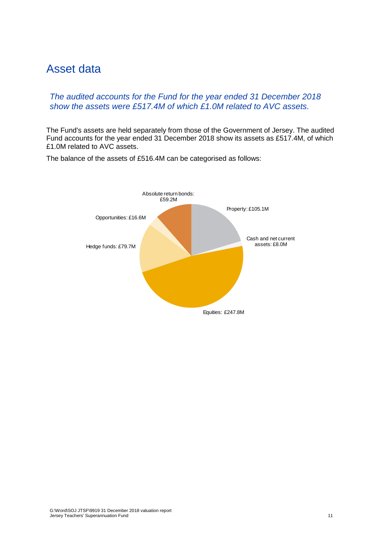### <span id="page-16-0"></span>Asset data

### *The audited accounts for the Fund for the year ended 31 December 2018 show the assets were £517.4M of which £1.0M related to AVC assets.*

The Fund's assets are held separately from those of the Government of Jersey. The audited Fund accounts for the year ended 31 December 2018 show its assets as £517.4M, of which £1.0M related to AVC assets.



The balance of the assets of £516.4M can be categorised as follows: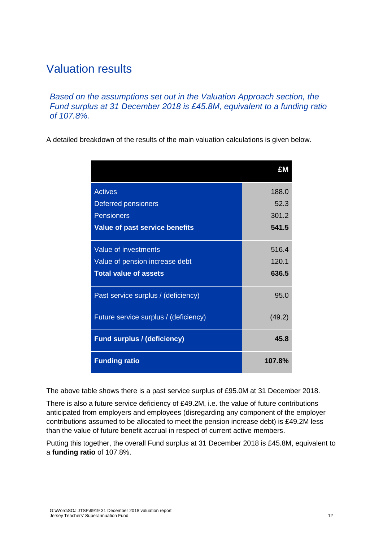### <span id="page-17-0"></span>Valuation results

*Based on the assumptions set out in the Valuation Approach section, the Fund surplus at 31 December 2018 is £45.8M, equivalent to a funding ratio of 107.8%.*

A detailed breakdown of the results of the main valuation calculations is given below.

|                                       | £Μ     |
|---------------------------------------|--------|
| <b>Actives</b>                        | 188.0  |
| <b>Deferred pensioners</b>            | 52.3   |
| <b>Pensioners</b>                     | 301.2  |
| <b>Value of past service benefits</b> | 541.5  |
| Value of investments                  | 516.4  |
| Value of pension increase debt        | 120.1  |
| <b>Total value of assets</b>          | 636.5  |
| Past service surplus / (deficiency)   | 95.0   |
| Future service surplus / (deficiency) | (49.2) |
| <b>Fund surplus / (deficiency)</b>    | 45.8   |
| <b>Funding ratio</b>                  | 107.8% |

The above table shows there is a past service surplus of £95.0M at 31 December 2018.

There is also a future service deficiency of £49.2M, i.e. the value of future contributions anticipated from employers and employees (disregarding any component of the employer contributions assumed to be allocated to meet the pension increase debt) is £49.2M less than the value of future benefit accrual in respect of current active members.

Putting this together, the overall Fund surplus at 31 December 2018 is £45.8M, equivalent to a **funding ratio** of 107.8%.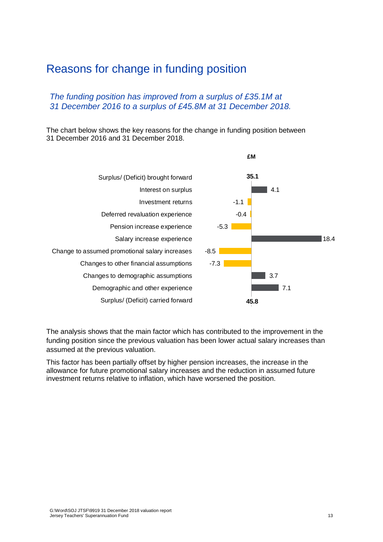### <span id="page-18-0"></span>Reasons for change in funding position

### *The funding position has improved from a surplus of £35.1M at 31 December 2016 to a surplus of £45.8M at 31 December 2018.*

The chart below shows the key reasons for the change in funding position between 31 December 2016 and 31 December 2018.



The analysis shows that the main factor which has contributed to the improvement in the funding position since the previous valuation has been lower actual salary increases than assumed at the previous valuation.

This factor has been partially offset by higher pension increases, the increase in the allowance for future promotional salary increases and the reduction in assumed future investment returns relative to inflation, which have worsened the position.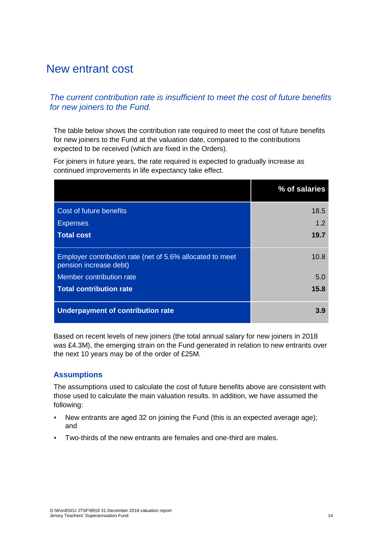### <span id="page-19-0"></span>New entrant cost

### *The current contribution rate is insufficient to meet the cost of future benefits for new joiners to the Fund.*

The table below shows the contribution rate required to meet the cost of future benefits for new joiners to the Fund at the valuation date, compared to the contributions expected to be received (which are fixed in the Orders).

For joiners in future years, the rate required is expected to gradually increase as continued improvements in life expectancy take effect.

|                                                                                     | % of salaries |
|-------------------------------------------------------------------------------------|---------------|
| Cost of future benefits<br><b>Expenses</b>                                          | 18.5<br>1.2   |
| <b>Total cost</b>                                                                   | 19.7          |
| Employer contribution rate (net of 5.6% allocated to meet<br>pension increase debt) | 10.8          |
| Member contribution rate                                                            | 5.0           |
| <b>Total contribution rate</b>                                                      | 15.8          |
| Underpayment of contribution rate                                                   | 3.9           |

Based on recent levels of new joiners (the total annual salary for new joiners in 2018 was £4.3M), the emerging strain on the Fund generated in relation to new entrants over the next 10 years may be of the order of £25M.

### **Assumptions**

The assumptions used to calculate the cost of future benefits above are consistent with those used to calculate the main valuation results. In addition, we have assumed the following:

- New entrants are aged 32 on joining the Fund (this is an expected average age); and
- Two-thirds of the new entrants are females and one-third are males.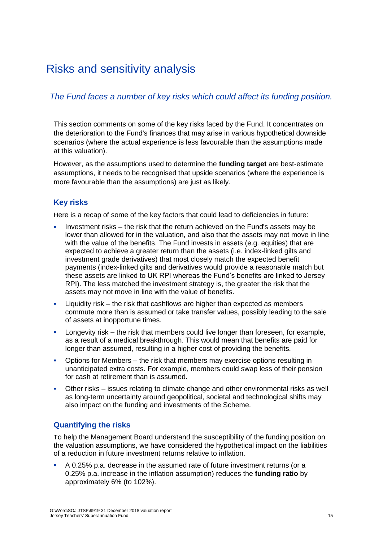### <span id="page-20-0"></span>Risks and sensitivity analysis

### *The Fund faces a number of key risks which could affect its funding position.*

This section comments on some of the key risks faced by the Fund. It concentrates on the deterioration to the Fund's finances that may arise in various hypothetical downside scenarios (where the actual experience is less favourable than the assumptions made at this valuation).

However, as the assumptions used to determine the **funding target** are best-estimate assumptions, it needs to be recognised that upside scenarios (where the experience is more favourable than the assumptions) are just as likely.

### **Key risks**

Here is a recap of some of the key factors that could lead to deficiencies in future:

- Investment risks the risk that the return achieved on the Fund's assets may be lower than allowed for in the valuation, and also that the assets may not move in line with the value of the benefits. The Fund invests in assets (e.g. equities) that are expected to achieve a greater return than the assets (i.e. index-linked gilts and investment grade derivatives) that most closely match the expected benefit payments (index-linked gilts and derivatives would provide a reasonable match but these assets are linked to UK RPI whereas the Fund's benefits are linked to Jersey RPI). The less matched the investment strategy is, the greater the risk that the assets may not move in line with the value of benefits.
- Liquidity risk the risk that cashflows are higher than expected as members commute more than is assumed or take transfer values, possibly leading to the sale of assets at inopportune times.
- **•** Longevity risk  $-$  the risk that members could live longer than foreseen, for example, as a result of a medical breakthrough. This would mean that benefits are paid for longer than assumed, resulting in a higher cost of providing the benefits.
- **•** Options for Members the risk that members may exercise options resulting in unanticipated extra costs. For example, members could swap less of their pension for cash at retirement than is assumed.
- **•** Other risks issues relating to climate change and other environmental risks as well as long-term uncertainty around geopolitical, societal and technological shifts may also impact on the funding and investments of the Scheme.

### **Quantifying the risks**

To help the Management Board understand the susceptibility of the funding position on the valuation assumptions, we have considered the hypothetical impact on the liabilities of a reduction in future investment returns relative to inflation.

▪ A 0.25% p.a. decrease in the assumed rate of future investment returns (or a 0.25% p.a. increase in the inflation assumption) reduces the **funding ratio** by approximately 6% (to 102%).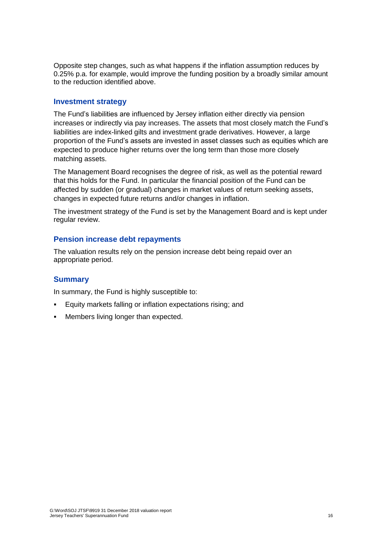Opposite step changes, such as what happens if the inflation assumption reduces by 0.25% p.a. for example, would improve the funding position by a broadly similar amount to the reduction identified above.

#### **Investment strategy**

The Fund's liabilities are influenced by Jersey inflation either directly via pension increases or indirectly via pay increases. The assets that most closely match the Fund's liabilities are index-linked gilts and investment grade derivatives. However, a large proportion of the Fund's assets are invested in asset classes such as equities which are expected to produce higher returns over the long term than those more closely matching assets.

The Management Board recognises the degree of risk, as well as the potential reward that this holds for the Fund. In particular the financial position of the Fund can be affected by sudden (or gradual) changes in market values of return seeking assets, changes in expected future returns and/or changes in inflation.

The investment strategy of the Fund is set by the Management Board and is kept under regular review.

### **Pension increase debt repayments**

The valuation results rely on the pension increase debt being repaid over an appropriate period.

### **Summary**

In summary, the Fund is highly susceptible to:

- Equity markets falling or inflation expectations rising; and
- **Members living longer than expected.**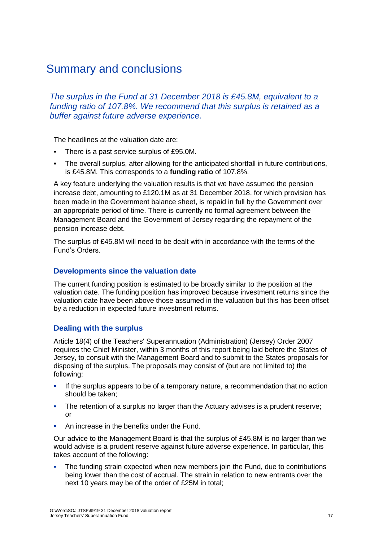### <span id="page-22-0"></span>Summary and conclusions

*The surplus in the Fund at 31 December 2018 is £45.8M, equivalent to a funding ratio of 107.8%. We recommend that this surplus is retained as a buffer against future adverse experience.*

The headlines at the valuation date are:

- There is a past service surplus of £95.0M.
- The overall surplus, after allowing for the anticipated shortfall in future contributions, is £45.8M. This corresponds to a **funding ratio** of 107.8%.

A key feature underlying the valuation results is that we have assumed the pension increase debt, amounting to £120.1M as at 31 December 2018, for which provision has been made in the Government balance sheet, is repaid in full by the Government over an appropriate period of time. There is currently no formal agreement between the Management Board and the Government of Jersey regarding the repayment of the pension increase debt.

The surplus of £45.8M will need to be dealt with in accordance with the terms of the Fund's Orders.

### **Developments since the valuation date**

The current funding position is estimated to be broadly similar to the position at the valuation date. The funding position has improved because investment returns since the valuation date have been above those assumed in the valuation but this has been offset by a reduction in expected future investment returns.

### **Dealing with the surplus**

Article 18(4) of the Teachers' Superannuation (Administration) (Jersey) Order 2007 requires the Chief Minister, within 3 months of this report being laid before the States of Jersey, to consult with the Management Board and to submit to the States proposals for disposing of the surplus. The proposals may consist of (but are not limited to) the following:

- **.** If the surplus appears to be of a temporary nature, a recommendation that no action should be taken;
- **•** The retention of a surplus no larger than the Actuary advises is a prudent reserve; or
- An increase in the benefits under the Fund.

Our advice to the Management Board is that the surplus of £45.8M is no larger than we would advise is a prudent reserve against future adverse experience. In particular, this takes account of the following:

**•** The funding strain expected when new members join the Fund, due to contributions being lower than the cost of accrual. The strain in relation to new entrants over the next 10 years may be of the order of £25M in total;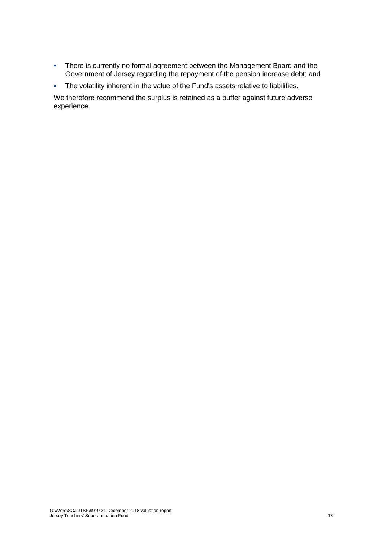- **·** There is currently no formal agreement between the Management Board and the Government of Jersey regarding the repayment of the pension increase debt; and
- The volatility inherent in the value of the Fund's assets relative to liabilities.

We therefore recommend the surplus is retained as a buffer against future adverse experience.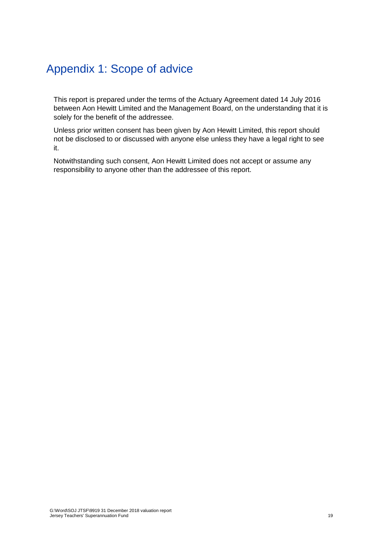### <span id="page-24-0"></span>Appendix 1: Scope of advice

This report is prepared under the terms of the Actuary Agreement dated 14 July 2016 between Aon Hewitt Limited and the Management Board, on the understanding that it is solely for the benefit of the addressee.

Unless prior written consent has been given by Aon Hewitt Limited, this report should not be disclosed to or discussed with anyone else unless they have a legal right to see it.

Notwithstanding such consent, Aon Hewitt Limited does not accept or assume any responsibility to anyone other than the addressee of this report.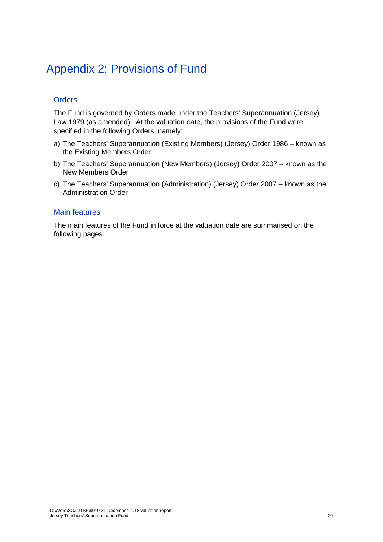### <span id="page-25-0"></span>Appendix 2: Provisions of Fund

### **Orders**

The Fund is governed by Orders made under the Teachers' Superannuation (Jersey) Law 1979 (as amended). At the valuation date, the provisions of the Fund were specified in the following Orders, namely:

- a) The Teachers' Superannuation (Existing Members) (Jersey) Order 1986 known as the Existing Members Order
- b) The Teachers' Superannuation (New Members) (Jersey) Order 2007 known as the New Members Order
- c) The Teachers' Superannuation (Administration) (Jersey) Order 2007 known as the Administration Order

### Main features

The main features of the Fund in force at the valuation date are summarised on the following pages.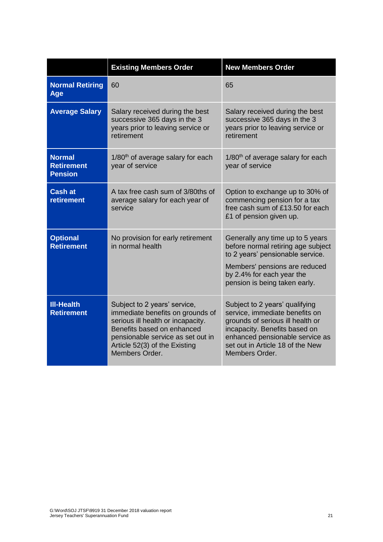|                                                      | <b>Existing Members Order</b>                                                                                                                                                                                               | <b>New Members Order</b>                                                                                                                                                                                                       |
|------------------------------------------------------|-----------------------------------------------------------------------------------------------------------------------------------------------------------------------------------------------------------------------------|--------------------------------------------------------------------------------------------------------------------------------------------------------------------------------------------------------------------------------|
| <b>Normal Retiring</b><br>Age                        | 60                                                                                                                                                                                                                          | 65                                                                                                                                                                                                                             |
| <b>Average Salary</b>                                | Salary received during the best<br>successive 365 days in the 3<br>years prior to leaving service or<br>retirement                                                                                                          | Salary received during the best<br>successive 365 days in the 3<br>years prior to leaving service or<br>retirement                                                                                                             |
| <b>Normal</b><br><b>Retirement</b><br><b>Pension</b> | 1/80 <sup>th</sup> of average salary for each<br>year of service                                                                                                                                                            | 1/80 <sup>th</sup> of average salary for each<br>year of service                                                                                                                                                               |
| <b>Cash at</b><br><b>retirement</b>                  | A tax free cash sum of 3/80ths of<br>average salary for each year of<br>service                                                                                                                                             | Option to exchange up to 30% of<br>commencing pension for a tax<br>free cash sum of £13.50 for each<br>£1 of pension given up.                                                                                                 |
| <b>Optional</b><br><b>Retirement</b>                 | No provision for early retirement<br>in normal health                                                                                                                                                                       | Generally any time up to 5 years<br>before normal retiring age subject<br>to 2 years' pensionable service.<br>Members' pensions are reduced<br>by 2.4% for each year the<br>pension is being taken early.                      |
| <b>III-Health</b><br><b>Retirement</b>               | Subject to 2 years' service,<br>immediate benefits on grounds of<br>serious ill health or incapacity.<br>Benefits based on enhanced<br>pensionable service as set out in<br>Article 52(3) of the Existing<br>Members Order. | Subject to 2 years' qualifying<br>service, immediate benefits on<br>grounds of serious ill health or<br>incapacity. Benefits based on<br>enhanced pensionable service as<br>set out in Article 18 of the New<br>Members Order. |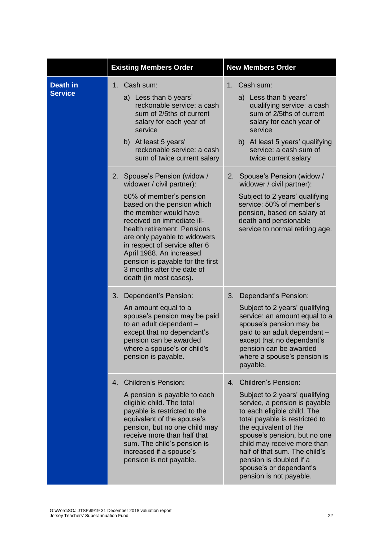|                                   | <b>Existing Members Order</b>                                                                                                                                                                                                                                                                                                                                                                        | <b>New Members Order</b>                                                                                                                                                                                                                                                                                                                                                       |
|-----------------------------------|------------------------------------------------------------------------------------------------------------------------------------------------------------------------------------------------------------------------------------------------------------------------------------------------------------------------------------------------------------------------------------------------------|--------------------------------------------------------------------------------------------------------------------------------------------------------------------------------------------------------------------------------------------------------------------------------------------------------------------------------------------------------------------------------|
| <b>Death in</b><br><b>Service</b> | 1. Cash sum:<br>a) Less than 5 years'<br>reckonable service: a cash<br>sum of 2/5ths of current<br>salary for each year of<br>service<br>b) At least 5 years'<br>reckonable service: a cash<br>sum of twice current salary                                                                                                                                                                           | 1. Cash sum:<br>a) Less than 5 years'<br>qualifying service: a cash<br>sum of 2/5ths of current<br>salary for each year of<br>service<br>b) At least 5 years' qualifying<br>service: a cash sum of<br>twice current salary                                                                                                                                                     |
|                                   | 2.<br>Spouse's Pension (widow /<br>widower / civil partner):<br>50% of member's pension<br>based on the pension which<br>the member would have<br>received on immediate ill-<br>health retirement. Pensions<br>are only payable to widowers<br>in respect of service after 6<br>April 1988. An increased<br>pension is payable for the first<br>3 months after the date of<br>death (in most cases). | Spouse's Pension (widow /<br>2.<br>widower / civil partner):<br>Subject to 2 years' qualifying<br>service: 50% of member's<br>pension, based on salary at<br>death and pensionable<br>service to normal retiring age.                                                                                                                                                          |
|                                   | 3.<br>Dependant's Pension:<br>An amount equal to a<br>spouse's pension may be paid<br>to an adult dependant -<br>except that no dependant's<br>pension can be awarded<br>where a spouse's or child's<br>pension is payable.                                                                                                                                                                          | 3.<br>Dependant's Pension:<br>Subject to 2 years' qualifying<br>service: an amount equal to a<br>spouse's pension may be<br>paid to an adult dependant -<br>except that no dependant's<br>pension can be awarded<br>where a spouse's pension is<br>payable.                                                                                                                    |
|                                   | <b>Children's Pension:</b><br>4.<br>A pension is payable to each<br>eligible child. The total<br>payable is restricted to the<br>equivalent of the spouse's<br>pension, but no one child may<br>receive more than half that<br>sum. The child's pension is<br>increased if a spouse's<br>pension is not payable.                                                                                     | <b>Children's Pension:</b><br>4.<br>Subject to 2 years' qualifying<br>service, a pension is payable<br>to each eligible child. The<br>total payable is restricted to<br>the equivalent of the<br>spouse's pension, but no one<br>child may receive more than<br>half of that sum. The child's<br>pension is doubled if a<br>spouse's or dependant's<br>pension is not payable. |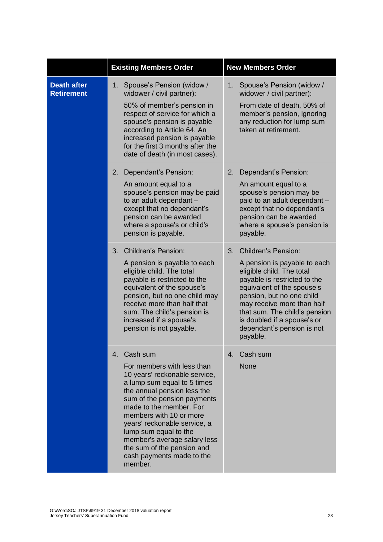|                                         | <b>Existing Members Order</b>                                                                                                                                                                                                                                                                                                                                                                | <b>New Members Order</b>                                                                                                                                                                                                                                                                                                         |
|-----------------------------------------|----------------------------------------------------------------------------------------------------------------------------------------------------------------------------------------------------------------------------------------------------------------------------------------------------------------------------------------------------------------------------------------------|----------------------------------------------------------------------------------------------------------------------------------------------------------------------------------------------------------------------------------------------------------------------------------------------------------------------------------|
| <b>Death after</b><br><b>Retirement</b> | Spouse's Pension (widow /<br>1.<br>widower / civil partner):<br>50% of member's pension in<br>respect of service for which a<br>spouse's pension is payable<br>according to Article 64. An<br>increased pension is payable<br>for the first 3 months after the<br>date of death (in most cases).                                                                                             | Spouse's Pension (widow /<br>$1_{-}$<br>widower / civil partner):<br>From date of death, 50% of<br>member's pension, ignoring<br>any reduction for lump sum<br>taken at retirement.                                                                                                                                              |
|                                         | Dependant's Pension:<br>2.<br>An amount equal to a<br>spouse's pension may be paid<br>to an adult dependant -<br>except that no dependant's<br>pension can be awarded<br>where a spouse's or child's<br>pension is payable.                                                                                                                                                                  | Dependant's Pension:<br>2.<br>An amount equal to a<br>spouse's pension may be<br>paid to an adult dependant -<br>except that no dependant's<br>pension can be awarded<br>where a spouse's pension is<br>payable.                                                                                                                 |
|                                         | 3.<br><b>Children's Pension:</b><br>A pension is payable to each<br>eligible child. The total<br>payable is restricted to the<br>equivalent of the spouse's<br>pension, but no one child may<br>receive more than half that<br>sum. The child's pension is<br>increased if a spouse's<br>pension is not payable.                                                                             | <b>Children's Pension:</b><br>3.<br>A pension is payable to each<br>eligible child. The total<br>payable is restricted to the<br>equivalent of the spouse's<br>pension, but no one child<br>may receive more than half<br>that sum. The child's pension<br>is doubled if a spouse's or<br>dependant's pension is not<br>payable. |
|                                         | 4. Cash sum<br>For members with less than<br>10 years' reckonable service,<br>a lump sum equal to 5 times<br>the annual pension less the<br>sum of the pension payments<br>made to the member. For<br>members with 10 or more<br>years' reckonable service, a<br>lump sum equal to the<br>member's average salary less<br>the sum of the pension and<br>cash payments made to the<br>member. | 4. Cash sum<br><b>None</b>                                                                                                                                                                                                                                                                                                       |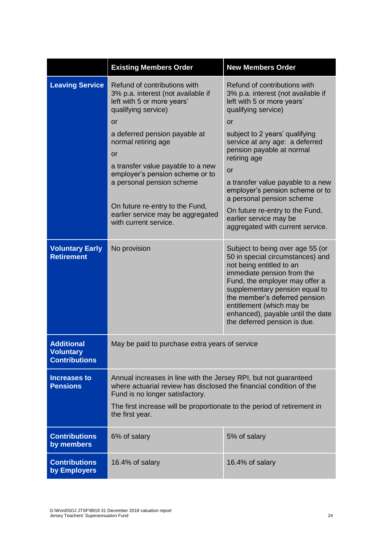|                                                               | <b>Existing Members Order</b>                                                                                                                                              | <b>New Members Order</b>                                                                                                                                                                                                                                                                                                              |  |
|---------------------------------------------------------------|----------------------------------------------------------------------------------------------------------------------------------------------------------------------------|---------------------------------------------------------------------------------------------------------------------------------------------------------------------------------------------------------------------------------------------------------------------------------------------------------------------------------------|--|
| <b>Leaving Service</b>                                        | Refund of contributions with<br>3% p.a. interest (not available if<br>left with 5 or more years'<br>qualifying service)<br><b>or</b><br>a deferred pension payable at      | Refund of contributions with<br>3% p.a. interest (not available if<br>left with 5 or more years'<br>qualifying service)<br>or<br>subject to 2 years' qualifying                                                                                                                                                                       |  |
|                                                               | normal retiring age<br>or                                                                                                                                                  | service at any age: a deferred<br>pension payable at normal<br>retiring age                                                                                                                                                                                                                                                           |  |
|                                                               | a transfer value payable to a new<br>employer's pension scheme or to<br>a personal pension scheme                                                                          | or<br>a transfer value payable to a new<br>employer's pension scheme or to<br>a personal pension scheme                                                                                                                                                                                                                               |  |
|                                                               | On future re-entry to the Fund,<br>earlier service may be aggregated<br>with current service.                                                                              | On future re-entry to the Fund,<br>earlier service may be<br>aggregated with current service.                                                                                                                                                                                                                                         |  |
| <b>Voluntary Early</b><br><b>Retirement</b>                   | No provision                                                                                                                                                               | Subject to being over age 55 (or<br>50 in special circumstances) and<br>not being entitled to an<br>immediate pension from the<br>Fund, the employer may offer a<br>supplementary pension equal to<br>the member's deferred pension<br>entitlement (which may be<br>enhanced), payable until the date<br>the deferred pension is due. |  |
| <b>Additional</b><br><b>Voluntary</b><br><b>Contributions</b> | May be paid to purchase extra years of service                                                                                                                             |                                                                                                                                                                                                                                                                                                                                       |  |
| <b>Increases to</b><br><b>Pensions</b>                        | Annual increases in line with the Jersey RPI, but not guaranteed<br>where actuarial review has disclosed the financial condition of the<br>Fund is no longer satisfactory. |                                                                                                                                                                                                                                                                                                                                       |  |
|                                                               | The first increase will be proportionate to the period of retirement in<br>the first year.                                                                                 |                                                                                                                                                                                                                                                                                                                                       |  |
| <b>Contributions</b><br>by members                            | 6% of salary                                                                                                                                                               | 5% of salary                                                                                                                                                                                                                                                                                                                          |  |
| <b>Contributions</b><br>by Employers                          | 16.4% of salary                                                                                                                                                            | 16.4% of salary                                                                                                                                                                                                                                                                                                                       |  |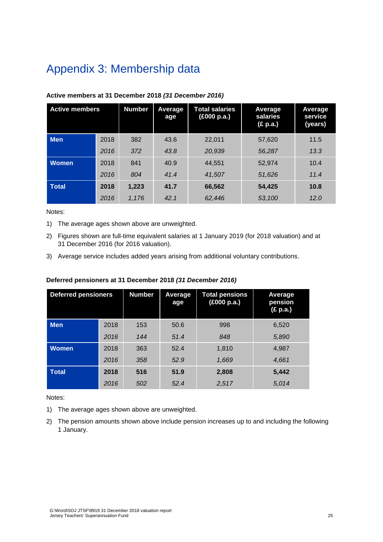## <span id="page-30-0"></span>Appendix 3: Membership data

| <b>Active members</b> |      | <b>Number</b> | Average<br>age | <b>Total salaries</b><br>(£000 p.a.) | Average<br>salaries<br>(£ p.a.) | Average<br>service<br>(years) |
|-----------------------|------|---------------|----------------|--------------------------------------|---------------------------------|-------------------------------|
| <b>Men</b>            | 2018 | 382           | 43.6           | 22.011                               | 57.620                          | 11.5                          |
|                       | 2016 | 372           | 43.8           | 20,939                               | 56,287                          | 13.3                          |
| <b>Women</b>          | 2018 | 841           | 40.9           | 44.551                               | 52.974                          | 10.4                          |
|                       | 2016 | 804           | 41.4           | 41.507                               | 51,626                          | 11.4                          |
| <b>Total</b>          | 2018 | 1,223         | 41.7           | 66,562                               | 54,425                          | 10.8                          |
|                       | 2016 | 1,176         | 42.1           | 62,446                               | 53,100                          | 12.0                          |

### **Active members at 31 December 2018** *(31 December 2016)*

Notes:

- 1) The average ages shown above are unweighted.
- 2) Figures shown are full-time equivalent salaries at 1 January 2019 (for 2018 valuation) and at 31 December 2016 (for 2016 valuation).
- 3) Average service includes added years arising from additional voluntary contributions.

| <b>Deferred pensioners</b> |      | <b>Number</b> | <b>Average</b><br>age | <b>Total pensions</b><br>(£000 p.a.) | Average<br>pension<br>(E p.a.) |
|----------------------------|------|---------------|-----------------------|--------------------------------------|--------------------------------|
| <b>Men</b>                 | 2018 | 153           | 50.6                  | 998                                  | 6,520                          |
|                            | 2016 | 144           | 51.4                  | 848                                  | 5,890                          |
| <b>Women</b>               | 2018 | 363           | 52.4                  | 1,810                                | 4,987                          |
|                            | 2016 | 358           | 52.9                  | 1,669                                | 4,661                          |
| <b>Total</b>               | 2018 | 516           | 51.9                  | 2,808                                | 5,442                          |
|                            | 2016 | 502           | 52.4                  | 2,517                                | 5,014                          |

### **Deferred pensioners at 31 December 2018** *(31 December 2016)*

Notes:

- 1) The average ages shown above are unweighted.
- 2) The pension amounts shown above include pension increases up to and including the following 1 January.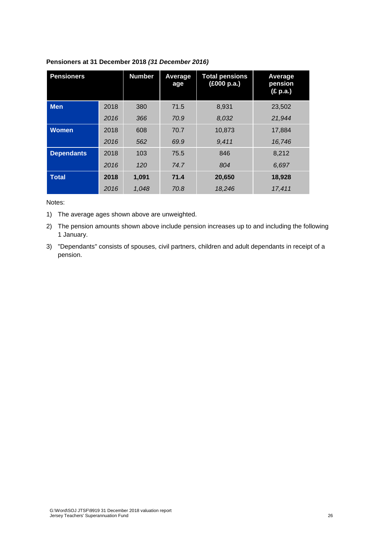| <b>Pensioners</b> |      | <b>Number</b> | Average<br>age | <b>Total pensions</b><br>(£000 p.a.) | Average<br>pension<br>(£ p.a.) |
|-------------------|------|---------------|----------------|--------------------------------------|--------------------------------|
| <b>Men</b>        | 2018 | 380           | 71.5           | 8,931                                | 23,502                         |
|                   | 2016 | 366           | 70.9           | 8,032                                | 21,944                         |
| <b>Women</b>      | 2018 | 608           | 70.7           | 10,873                               | 17,884                         |
|                   | 2016 | 562           | 69.9           | 9,411                                | 16.746                         |
| <b>Dependants</b> | 2018 | 103           | 75.5           | 846                                  | 8.212                          |
|                   | 2016 | 120           | 74.7           | 804                                  | 6.697                          |
| <b>Total</b>      | 2018 | 1,091         | 71.4           | 20,650                               | 18,928                         |
|                   | 2016 | 1.048         | 70.8           | 18.246                               | 17,411                         |

#### **Pensioners at 31 December 2018** *(31 December 2016)*

Notes:

1) The average ages shown above are unweighted.

2) The pension amounts shown above include pension increases up to and including the following 1 January.

3) "Dependants" consists of spouses, civil partners, children and adult dependants in receipt of a pension.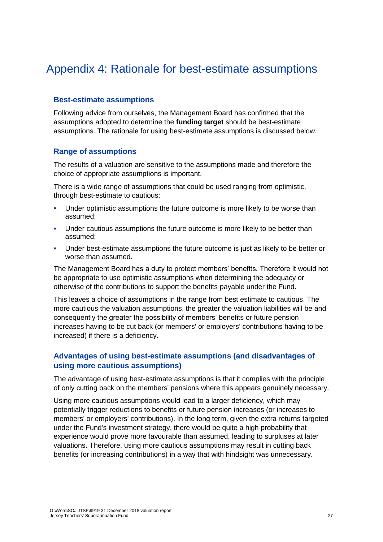### <span id="page-32-0"></span>Appendix 4: Rationale for best-estimate assumptions

### **Best-estimate assumptions**

Following advice from ourselves, the Management Board has confirmed that the assumptions adopted to determine the **funding target** should be best-estimate assumptions. The rationale for using best-estimate assumptions is discussed below.

### **Range of assumptions**

The results of a valuation are sensitive to the assumptions made and therefore the choice of appropriate assumptions is important.

There is a wide range of assumptions that could be used ranging from optimistic, through best-estimate to cautious:

- **•** Under optimistic assumptions the future outcome is more likely to be worse than assumed;
- **•** Under cautious assumptions the future outcome is more likely to be better than assumed;
- **•** Under best-estimate assumptions the future outcome is just as likely to be better or worse than assumed.

The Management Board has a duty to protect members' benefits. Therefore it would not be appropriate to use optimistic assumptions when determining the adequacy or otherwise of the contributions to support the benefits payable under the Fund.

This leaves a choice of assumptions in the range from best estimate to cautious. The more cautious the valuation assumptions, the greater the valuation liabilities will be and consequently the greater the possibility of members' benefits or future pension increases having to be cut back (or members' or employers' contributions having to be increased) if there is a deficiency.

### **Advantages of using best-estimate assumptions (and disadvantages of using more cautious assumptions)**

The advantage of using best-estimate assumptions is that it complies with the principle of only cutting back on the members' pensions where this appears genuinely necessary.

Using more cautious assumptions would lead to a larger deficiency, which may potentially trigger reductions to benefits or future pension increases (or increases to members' or employers' contributions). In the long term, given the extra returns targeted under the Fund's investment strategy, there would be quite a high probability that experience would prove more favourable than assumed, leading to surpluses at later valuations. Therefore, using more cautious assumptions may result in cutting back benefits (or increasing contributions) in a way that with hindsight was unnecessary.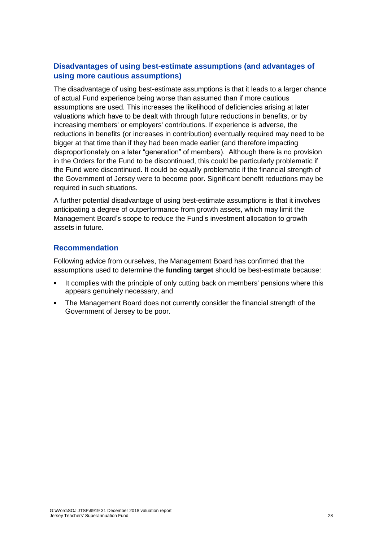### **Disadvantages of using best-estimate assumptions (and advantages of using more cautious assumptions)**

The disadvantage of using best-estimate assumptions is that it leads to a larger chance of actual Fund experience being worse than assumed than if more cautious assumptions are used. This increases the likelihood of deficiencies arising at later valuations which have to be dealt with through future reductions in benefits, or by increasing members' or employers' contributions. If experience is adverse, the reductions in benefits (or increases in contribution) eventually required may need to be bigger at that time than if they had been made earlier (and therefore impacting disproportionately on a later "generation" of members). Although there is no provision in the Orders for the Fund to be discontinued, this could be particularly problematic if the Fund were discontinued. It could be equally problematic if the financial strength of the Government of Jersey were to become poor. Significant benefit reductions may be required in such situations.

A further potential disadvantage of using best-estimate assumptions is that it involves anticipating a degree of outperformance from growth assets, which may limit the Management Board's scope to reduce the Fund's investment allocation to growth assets in future.

### **Recommendation**

Following advice from ourselves, the Management Board has confirmed that the assumptions used to determine the **funding target** should be best-estimate because:

- It complies with the principle of only cutting back on members' pensions where this appears genuinely necessary, and
- The Management Board does not currently consider the financial strength of the Government of Jersey to be poor.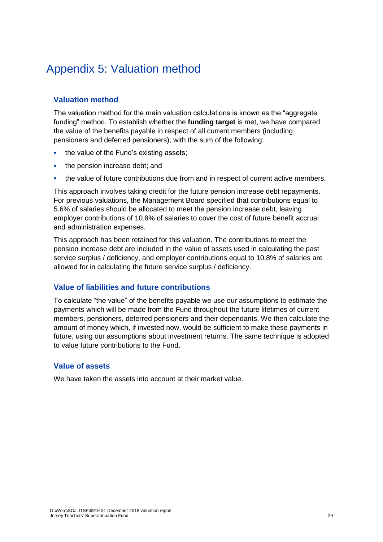### <span id="page-34-0"></span>Appendix 5: Valuation method

### **Valuation method**

The valuation method for the main valuation calculations is known as the "aggregate funding" method. To establish whether the **funding target** is met, we have compared the value of the benefits payable in respect of all current members (including pensioners and deferred pensioners), with the sum of the following:

- the value of the Fund's existing assets;
- **•** the pension increase debt; and
- **•** the value of future contributions due from and in respect of current active members.

This approach involves taking credit for the future pension increase debt repayments. For previous valuations, the Management Board specified that contributions equal to 5.6% of salaries should be allocated to meet the pension increase debt, leaving employer contributions of 10.8% of salaries to cover the cost of future benefit accrual and administration expenses.

This approach has been retained for this valuation. The contributions to meet the pension increase debt are included in the value of assets used in calculating the past service surplus / deficiency, and employer contributions equal to 10.8% of salaries are allowed for in calculating the future service surplus / deficiency.

### **Value of liabilities and future contributions**

To calculate "the value" of the benefits payable we use our assumptions to estimate the payments which will be made from the Fund throughout the future lifetimes of current members, pensioners, deferred pensioners and their dependants. We then calculate the amount of money which, if invested now, would be sufficient to make these payments in future, using our assumptions about investment returns. The same technique is adopted to value future contributions to the Fund.

### **Value of assets**

We have taken the assets into account at their market value.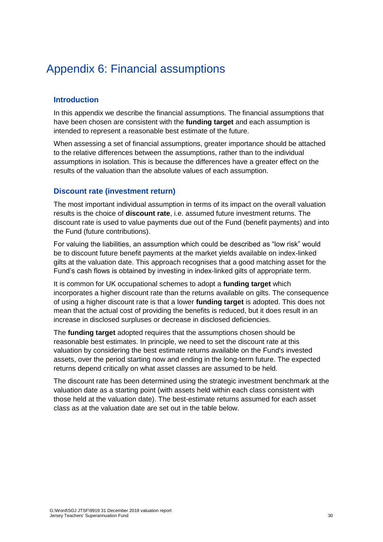### <span id="page-35-0"></span>Appendix 6: Financial assumptions

### **Introduction**

In this appendix we describe the financial assumptions. The financial assumptions that have been chosen are consistent with the **funding target** and each assumption is intended to represent a reasonable best estimate of the future.

When assessing a set of financial assumptions, greater importance should be attached to the relative differences between the assumptions, rather than to the individual assumptions in isolation. This is because the differences have a greater effect on the results of the valuation than the absolute values of each assumption.

### **Discount rate (investment return)**

The most important individual assumption in terms of its impact on the overall valuation results is the choice of **discount rate**, i.e. assumed future investment returns. The discount rate is used to value payments due out of the Fund (benefit payments) and into the Fund (future contributions).

For valuing the liabilities, an assumption which could be described as "low risk" would be to discount future benefit payments at the market yields available on index-linked gilts at the valuation date. This approach recognises that a good matching asset for the Fund's cash flows is obtained by investing in index-linked gilts of appropriate term.

It is common for UK occupational schemes to adopt a **funding target** which incorporates a higher discount rate than the returns available on gilts. The consequence of using a higher discount rate is that a lower **funding target** is adopted. This does not mean that the actual cost of providing the benefits is reduced, but it does result in an increase in disclosed surpluses or decrease in disclosed deficiencies.

The **funding target** adopted requires that the assumptions chosen should be reasonable best estimates. In principle, we need to set the discount rate at this valuation by considering the best estimate returns available on the Fund's invested assets, over the period starting now and ending in the long-term future. The expected returns depend critically on what asset classes are assumed to be held.

The discount rate has been determined using the strategic investment benchmark at the valuation date as a starting point (with assets held within each class consistent with those held at the valuation date). The best-estimate returns assumed for each asset class as at the valuation date are set out in the table below.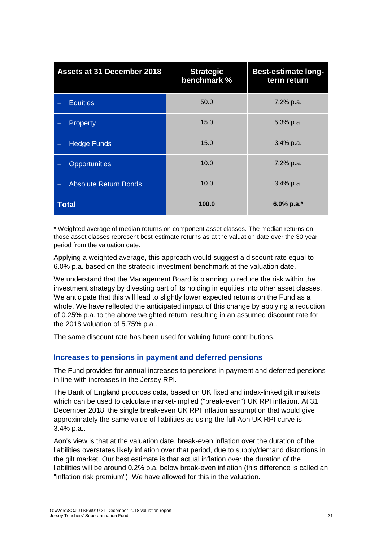| <b>Assets at 31 December 2018</b> | <b>Strategic</b><br>benchmark % | <b>Best-estimate long-</b><br>term return |
|-----------------------------------|---------------------------------|-------------------------------------------|
| <b>Equities</b>                   | 50.0                            | 7.2% p.a.                                 |
| Property                          | 15.0                            | 5.3% p.a.                                 |
| <b>Hedge Funds</b>                | 15.0                            | 3.4% p.a.                                 |
| <b>Opportunities</b>              | 10.0                            | 7.2% p.a.                                 |
| <b>Absolute Return Bonds</b>      | 10.0                            | $3.4\%$ p.a.                              |
| <b>Total</b>                      | 100.0                           | 6.0% p.a.*                                |

\* Weighted average of median returns on component asset classes. The median returns on those asset classes represent best-estimate returns as at the valuation date over the 30 year period from the valuation date.

Applying a weighted average, this approach would suggest a discount rate equal to 6.0% p.a. based on the strategic investment benchmark at the valuation date.

We understand that the Management Board is planning to reduce the risk within the investment strategy by divesting part of its holding in equities into other asset classes. We anticipate that this will lead to slightly lower expected returns on the Fund as a whole. We have reflected the anticipated impact of this change by applying a reduction of 0.25% p.a. to the above weighted return, resulting in an assumed discount rate for the 2018 valuation of 5.75% p.a..

The same discount rate has been used for valuing future contributions.

### **Increases to pensions in payment and deferred pensions**

The Fund provides for annual increases to pensions in payment and deferred pensions in line with increases in the Jersey RPI.

The Bank of England produces data, based on UK fixed and index-linked gilt markets, which can be used to calculate market-implied ("break-even") UK RPI inflation. At 31 December 2018, the single break-even UK RPI inflation assumption that would give approximately the same value of liabilities as using the full Aon UK RPI curve is 3.4% p.a..

Aon's view is that at the valuation date, break-even inflation over the duration of the liabilities overstates likely inflation over that period, due to supply/demand distortions in the gilt market. Our best estimate is that actual inflation over the duration of the liabilities will be around 0.2% p.a. below break-even inflation (this difference is called an "inflation risk premium"). We have allowed for this in the valuation.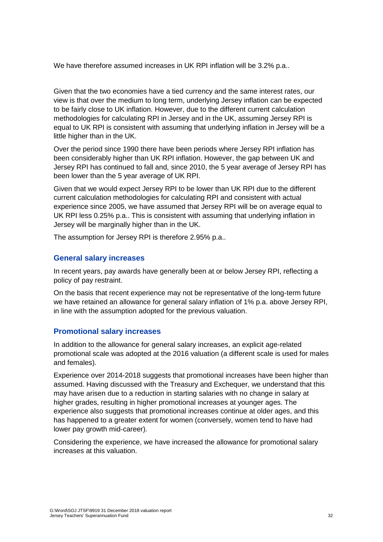We have therefore assumed increases in UK RPI inflation will be 3.2% p.a..

Given that the two economies have a tied currency and the same interest rates, our view is that over the medium to long term, underlying Jersey inflation can be expected to be fairly close to UK inflation. However, due to the different current calculation methodologies for calculating RPI in Jersey and in the UK, assuming Jersey RPI is equal to UK RPI is consistent with assuming that underlying inflation in Jersey will be a little higher than in the UK.

Over the period since 1990 there have been periods where Jersey RPI inflation has been considerably higher than UK RPI inflation. However, the gap between UK and Jersey RPI has continued to fall and, since 2010, the 5 year average of Jersey RPI has been lower than the 5 year average of UK RPI.

Given that we would expect Jersey RPI to be lower than UK RPI due to the different current calculation methodologies for calculating RPI and consistent with actual experience since 2005, we have assumed that Jersey RPI will be on average equal to UK RPI less 0.25% p.a.. This is consistent with assuming that underlying inflation in Jersey will be marginally higher than in the UK.

The assumption for Jersey RPI is therefore 2.95% p.a..

### **General salary increases**

In recent years, pay awards have generally been at or below Jersey RPI, reflecting a policy of pay restraint.

On the basis that recent experience may not be representative of the long-term future we have retained an allowance for general salary inflation of 1% p.a. above Jersey RPI, in line with the assumption adopted for the previous valuation.

### **Promotional salary increases**

In addition to the allowance for general salary increases, an explicit age-related promotional scale was adopted at the 2016 valuation (a different scale is used for males and females).

Experience over 2014-2018 suggests that promotional increases have been higher than assumed. Having discussed with the Treasury and Exchequer, we understand that this may have arisen due to a reduction in starting salaries with no change in salary at higher grades, resulting in higher promotional increases at younger ages. The experience also suggests that promotional increases continue at older ages, and this has happened to a greater extent for women (conversely, women tend to have had lower pay growth mid-career).

Considering the experience, we have increased the allowance for promotional salary increases at this valuation.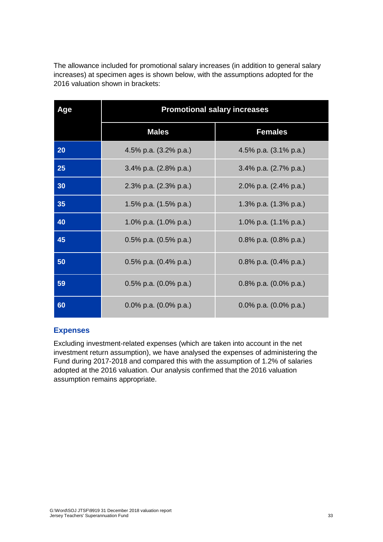The allowance included for promotional salary increases (in addition to general salary increases) at specimen ages is shown below, with the assumptions adopted for the 2016 valuation shown in brackets:

| Age | <b>Promotional salary increases</b> |                                  |
|-----|-------------------------------------|----------------------------------|
|     | <b>Males</b>                        | <b>Females</b>                   |
| 20  | 4.5% p.a. (3.2% p.a.)               | 4.5% p.a. (3.1% p.a.)            |
| 25  | 3.4% p.a. (2.8% p.a.)               | 3.4% p.a. (2.7% p.a.)            |
| 30  | 2.3% p.a. (2.3% p.a.)               | 2.0% p.a. (2.4% p.a.)            |
| 35  | 1.5% p.a. (1.5% p.a.)               | 1.3% p.a. (1.3% p.a.)            |
| 40  | 1.0% p.a. (1.0% p.a.)               | 1.0% p.a. (1.1% p.a.)            |
| 45  | 0.5% p.a. $(0.5%$ p.a.)             | 0.8% p.a. $(0.8\% \text{ p.a.})$ |
| 50  | 0.5% p.a. $(0.4\%$ p.a.)            | 0.8% p.a. $(0.4\%$ p.a.)         |
| 59  | 0.5% p.a. $(0.0\%$ p.a.)            | 0.8% p.a. $(0.0\%$ p.a.)         |
| 60  | 0.0% p.a. (0.0% p.a.)               | 0.0% p.a. $(0.0\%$ p.a.)         |

### **Expenses**

Excluding investment-related expenses (which are taken into account in the net investment return assumption), we have analysed the expenses of administering the Fund during 2017-2018 and compared this with the assumption of 1.2% of salaries adopted at the 2016 valuation. Our analysis confirmed that the 2016 valuation assumption remains appropriate.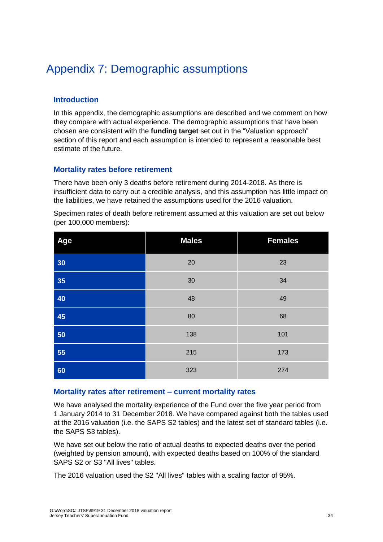### <span id="page-39-0"></span>Appendix 7: Demographic assumptions

### **Introduction**

In this appendix, the demographic assumptions are described and we comment on how they compare with actual experience. The demographic assumptions that have been chosen are consistent with the **funding target** set out in the "Valuation approach" section of this report and each assumption is intended to represent a reasonable best estimate of the future.

### **Mortality rates before retirement**

There have been only 3 deaths before retirement during 2014-2018. As there is insufficient data to carry out a credible analysis, and this assumption has little impact on the liabilities, we have retained the assumptions used for the 2016 valuation.

Specimen rates of death before retirement assumed at this valuation are set out below (per 100,000 members):

| Age | <b>Males</b> | <b>Females</b> |
|-----|--------------|----------------|
| 30  | 20           | 23             |
| 35  | 30           | 34             |
| 40  | 48           | 49             |
| 45  | 80           | 68             |
| 50  | 138          | 101            |
| 55  | 215          | 173            |
| 60  | 323          | 274            |

### **Mortality rates after retirement – current mortality rates**

We have analysed the mortality experience of the Fund over the five year period from 1 January 2014 to 31 December 2018. We have compared against both the tables used at the 2016 valuation (i.e. the SAPS S2 tables) and the latest set of standard tables (i.e. the SAPS S3 tables).

We have set out below the ratio of actual deaths to expected deaths over the period (weighted by pension amount), with expected deaths based on 100% of the standard SAPS S2 or S3 "All lives" tables.

The 2016 valuation used the S2 "All lives" tables with a scaling factor of 95%.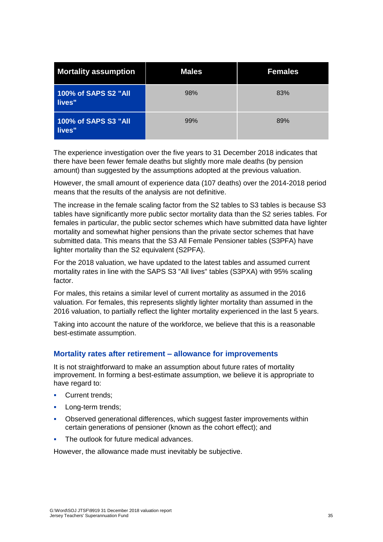| <b>Mortality assumption</b>    | <b>Males</b> | <b>Females</b> |
|--------------------------------|--------------|----------------|
| 100% of SAPS S2 "All<br>lives" | 98%          | 83%            |
| 100% of SAPS S3 "All<br>lives" | 99%          | 89%            |

The experience investigation over the five years to 31 December 2018 indicates that there have been fewer female deaths but slightly more male deaths (by pension amount) than suggested by the assumptions adopted at the previous valuation.

However, the small amount of experience data (107 deaths) over the 2014-2018 period means that the results of the analysis are not definitive.

The increase in the female scaling factor from the S2 tables to S3 tables is because S3 tables have significantly more public sector mortality data than the S2 series tables. For females in particular, the public sector schemes which have submitted data have lighter mortality and somewhat higher pensions than the private sector schemes that have submitted data. This means that the S3 All Female Pensioner tables (S3PFA) have lighter mortality than the S2 equivalent (S2PFA).

For the 2018 valuation, we have updated to the latest tables and assumed current mortality rates in line with the SAPS S3 "All lives" tables (S3PXA) with 95% scaling factor.

For males, this retains a similar level of current mortality as assumed in the 2016 valuation. For females, this represents slightly lighter mortality than assumed in the 2016 valuation, to partially reflect the lighter mortality experienced in the last 5 years.

Taking into account the nature of the workforce, we believe that this is a reasonable best-estimate assumption.

### **Mortality rates after retirement – allowance for improvements**

It is not straightforward to make an assumption about future rates of mortality improvement. In forming a best-estimate assumption, we believe it is appropriate to have regard to:

- Current trends;
- **•** Long-term trends;
- **Observed generational differences, which suggest faster improvements within** certain generations of pensioner (known as the cohort effect); and
- The outlook for future medical advances.

However, the allowance made must inevitably be subjective.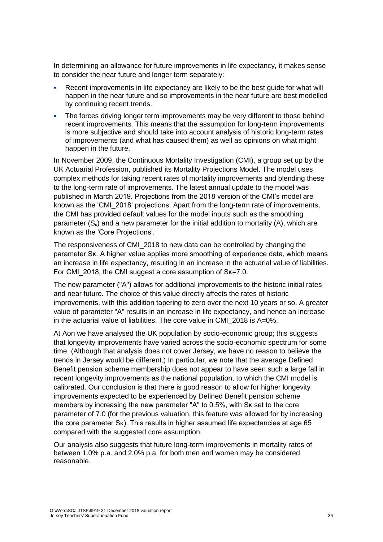In determining an allowance for future improvements in life expectancy, it makes sense to consider the near future and longer term separately:

- Recent improvements in life expectancy are likely to be the best guide for what will happen in the near future and so improvements in the near future are best modelled by continuing recent trends.
- The forces driving longer term improvements may be very different to those behind recent improvements. This means that the assumption for long-term improvements is more subjective and should take into account analysis of historic long-term rates of improvements (and what has caused them) as well as opinions on what might happen in the future.

In November 2009, the Continuous Mortality Investigation (CMI), a group set up by the UK Actuarial Profession, published its Mortality Projections Model. The model uses complex methods for taking recent rates of mortality improvements and blending these to the long-term rate of improvements. The latest annual update to the model was published in March 2019. Projections from the 2018 version of the CMI's model are known as the 'CMI\_2018' projections. Apart from the long-term rate of improvements, the CMI has provided default values for the model inputs such as the smoothing parameter  $(S_k)$  and a new parameter for the initial addition to mortality (A), which are known as the 'Core Projections'.

The responsiveness of CMI\_2018 to new data can be controlled by changing the parameter Sκ. A higher value applies more smoothing of experience data, which means an increase in life expectancy, resulting in an increase in the actuarial value of liabilities. For CMI\_2018, the CMI suggest a core assumption of Sκ=7.0.

The new parameter ("A") allows for additional improvements to the historic initial rates and near future. The choice of this value directly affects the rates of historic improvements, with this addition tapering to zero over the next 10 years or so. A greater value of parameter "A" results in an increase in life expectancy, and hence an increase in the actuarial value of liabilities. The core value in CMI\_2018 is A=0%.

At Aon we have analysed the UK population by socio-economic group; this suggests that longevity improvements have varied across the socio-economic spectrum for some time. (Although that analysis does not cover Jersey, we have no reason to believe the trends in Jersey would be different.) In particular, we note that the average Defined Benefit pension scheme membership does not appear to have seen such a large fall in recent longevity improvements as the national population, to which the CMI model is calibrated. Our conclusion is that there is good reason to allow for higher longevity improvements expected to be experienced by Defined Benefit pension scheme members by increasing the new parameter "A" to 0.5%, with Sκ set to the core parameter of 7.0 (for the previous valuation, this feature was allowed for by increasing the core parameter Sκ). This results in higher assumed life expectancies at age 65 compared with the suggested core assumption.

Our analysis also suggests that future long-term improvements in mortality rates of between 1.0% p.a. and 2.0% p.a. for both men and women may be considered reasonable.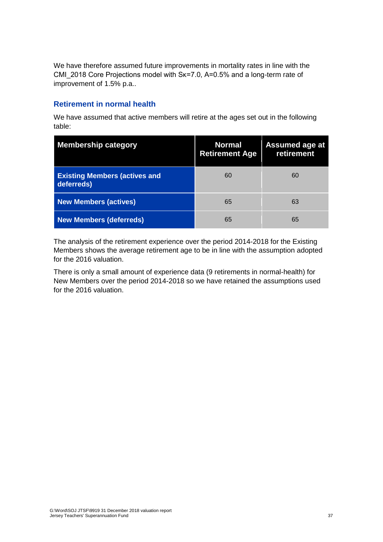We have therefore assumed future improvements in mortality rates in line with the CMI\_2018 Core Projections model with Sk=7.0, A=0.5% and a long-term rate of improvement of 1.5% p.a..

### **Retirement in normal health**

We have assumed that active members will retire at the ages set out in the following table:

| <b>Membership category</b>                         | <b>Normal</b><br><b>Retirement Age</b> | <b>Assumed age at</b><br>retirement |
|----------------------------------------------------|----------------------------------------|-------------------------------------|
| <b>Existing Members (actives and</b><br>deferreds) | 60                                     | 60                                  |
| <b>New Members (actives)</b>                       | 65                                     | 63                                  |
| <b>New Members (deferreds)</b>                     | 65                                     | 65                                  |

The analysis of the retirement experience over the period 2014-2018 for the Existing Members shows the average retirement age to be in line with the assumption adopted for the 2016 valuation.

There is only a small amount of experience data (9 retirements in normal-health) for New Members over the period 2014-2018 so we have retained the assumptions used for the 2016 valuation.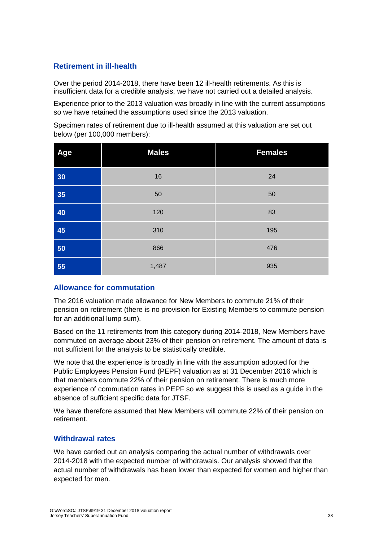### **Retirement in ill-health**

Over the period 2014-2018, there have been 12 ill-health retirements. As this is insufficient data for a credible analysis, we have not carried out a detailed analysis.

Experience prior to the 2013 valuation was broadly in line with the current assumptions so we have retained the assumptions used since the 2013 valuation.

Specimen rates of retirement due to ill-health assumed at this valuation are set out below (per 100,000 members):

| Age | <b>Males</b> | <b>Females</b> |
|-----|--------------|----------------|
| 30  | 16           | 24             |
| 35  | 50           | 50             |
| 40  | 120          | 83             |
| 45  | 310          | 195            |
| 50  | 866          | 476            |
| 55  | 1,487        | 935            |

### **Allowance for commutation**

The 2016 valuation made allowance for New Members to commute 21% of their pension on retirement (there is no provision for Existing Members to commute pension for an additional lump sum).

Based on the 11 retirements from this category during 2014-2018, New Members have commuted on average about 23% of their pension on retirement. The amount of data is not sufficient for the analysis to be statistically credible.

We note that the experience is broadly in line with the assumption adopted for the Public Employees Pension Fund (PEPF) valuation as at 31 December 2016 which is that members commute 22% of their pension on retirement. There is much more experience of commutation rates in PEPF so we suggest this is used as a guide in the absence of sufficient specific data for JTSF.

We have therefore assumed that New Members will commute 22% of their pension on retirement.

### **Withdrawal rates**

We have carried out an analysis comparing the actual number of withdrawals over 2014-2018 with the expected number of withdrawals. Our analysis showed that the actual number of withdrawals has been lower than expected for women and higher than expected for men.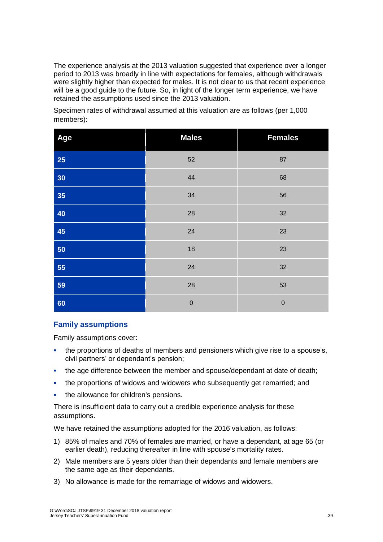The experience analysis at the 2013 valuation suggested that experience over a longer period to 2013 was broadly in line with expectations for females, although withdrawals were slightly higher than expected for males. It is not clear to us that recent experience will be a good quide to the future. So, in light of the longer term experience, we have retained the assumptions used since the 2013 valuation.

Specimen rates of withdrawal assumed at this valuation are as follows (per 1,000 members):

| Age       | <b>Males</b> | <b>Females</b> |
|-----------|--------------|----------------|
| <b>25</b> | 52           | 87             |
| 30        | 44           | 68             |
| 35        | 34           | 56             |
| 40        | 28           | 32             |
| 45        | 24           | 23             |
| 50        | 18           | 23             |
| 55        | 24           | 32             |
| 59        | 28           | 53             |
| 60        | $\mathbf 0$  | $\mathbf 0$    |

### **Family assumptions**

Family assumptions cover:

- the proportions of deaths of members and pensioners which give rise to a spouse's, civil partners' or dependant's pension;
- the age difference between the member and spouse/dependant at date of death;
- the proportions of widows and widowers who subsequently get remarried; and
- the allowance for children's pensions.

There is insufficient data to carry out a credible experience analysis for these assumptions.

We have retained the assumptions adopted for the 2016 valuation, as follows:

- 1) 85% of males and 70% of females are married, or have a dependant, at age 65 (or earlier death), reducing thereafter in line with spouse's mortality rates.
- 2) Male members are 5 years older than their dependants and female members are the same age as their dependants.
- 3) No allowance is made for the remarriage of widows and widowers.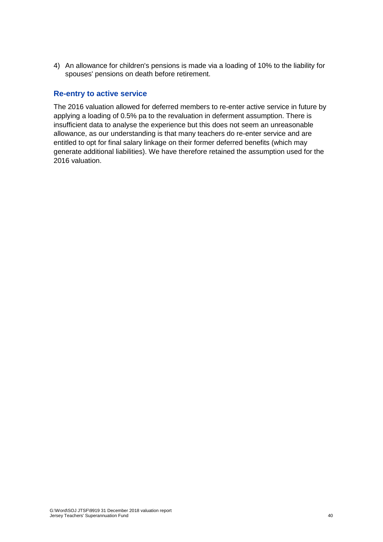4) An allowance for children's pensions is made via a loading of 10% to the liability for spouses' pensions on death before retirement.

#### **Re-entry to active service**

The 2016 valuation allowed for deferred members to re-enter active service in future by applying a loading of 0.5% pa to the revaluation in deferment assumption. There is insufficient data to analyse the experience but this does not seem an unreasonable allowance, as our understanding is that many teachers do re-enter service and are entitled to opt for final salary linkage on their former deferred benefits (which may generate additional liabilities). We have therefore retained the assumption used for the 2016 valuation.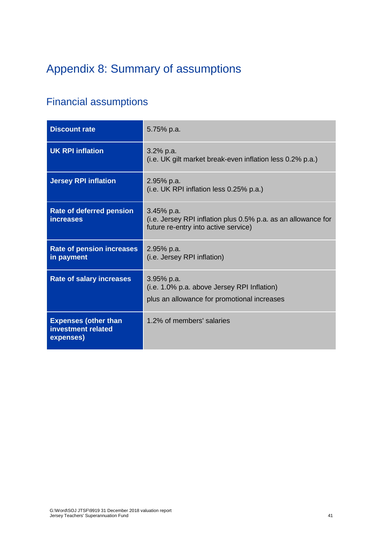# <span id="page-46-0"></span>Appendix 8: Summary of assumptions

### Financial assumptions

| <b>Discount rate</b>                                           | 5.75% p.a.                                                                                                            |
|----------------------------------------------------------------|-----------------------------------------------------------------------------------------------------------------------|
| <b>UK RPI inflation</b>                                        | $3.2\%$ p.a.<br>(i.e. UK gilt market break-even inflation less 0.2% p.a.)                                             |
| <b>Jersey RPI inflation</b>                                    | 2.95% p.a.<br>(i.e. UK RPI inflation less 0.25% p.a.)                                                                 |
| <b>Rate of deferred pension</b><br><i>increases</i>            | $3.45%$ p.a.<br>(i.e. Jersey RPI inflation plus 0.5% p.a. as an allowance for<br>future re-entry into active service) |
| <b>Rate of pension increases</b><br>in payment                 | 2.95% p.a.<br>(i.e. Jersey RPI inflation)                                                                             |
| <b>Rate of salary increases</b>                                | $3.95%$ p.a.<br>(i.e. 1.0% p.a. above Jersey RPI Inflation)<br>plus an allowance for promotional increases            |
| <b>Expenses (other than</b><br>investment related<br>expenses) | 1.2% of members' salaries                                                                                             |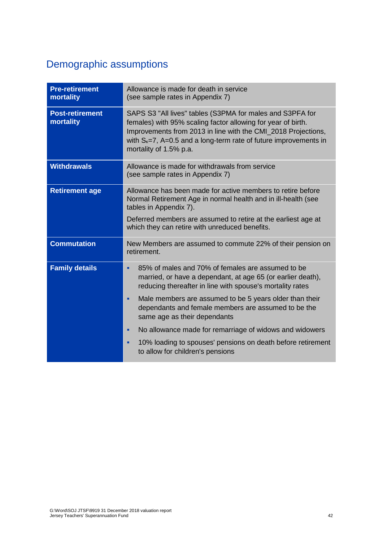### Demographic assumptions

| <b>Pre-retirement</b><br>mortality  | Allowance is made for death in service<br>(see sample rates in Appendix 7)                                                                                                                                                                                                                                                                                                                                                                                                     |
|-------------------------------------|--------------------------------------------------------------------------------------------------------------------------------------------------------------------------------------------------------------------------------------------------------------------------------------------------------------------------------------------------------------------------------------------------------------------------------------------------------------------------------|
| <b>Post-retirement</b><br>mortality | SAPS S3 "All lives" tables (S3PMA for males and S3PFA for<br>females) with 95% scaling factor allowing for year of birth.<br>Improvements from 2013 in line with the CMI_2018 Projections,<br>with $S_{k} = 7$ , A=0.5 and a long-term rate of future improvements in<br>mortality of 1.5% p.a.                                                                                                                                                                                |
| <b>Withdrawals</b>                  | Allowance is made for withdrawals from service<br>(see sample rates in Appendix 7)                                                                                                                                                                                                                                                                                                                                                                                             |
| <b>Retirement age</b>               | Allowance has been made for active members to retire before<br>Normal Retirement Age in normal health and in ill-health (see<br>tables in Appendix 7).<br>Deferred members are assumed to retire at the earliest age at<br>which they can retire with unreduced benefits.                                                                                                                                                                                                      |
| <b>Commutation</b>                  | New Members are assumed to commute 22% of their pension on<br>retirement.                                                                                                                                                                                                                                                                                                                                                                                                      |
| <b>Family details</b>               | 85% of males and 70% of females are assumed to be<br>٠<br>married, or have a dependant, at age 65 (or earlier death),<br>reducing thereafter in line with spouse's mortality rates<br>Male members are assumed to be 5 years older than their<br>٠<br>dependants and female members are assumed to be the<br>same age as their dependants<br>No allowance made for remarriage of widows and widowers<br>٠<br>10% loading to spouses' pensions on death before retirement<br>n, |
|                                     | to allow for children's pensions                                                                                                                                                                                                                                                                                                                                                                                                                                               |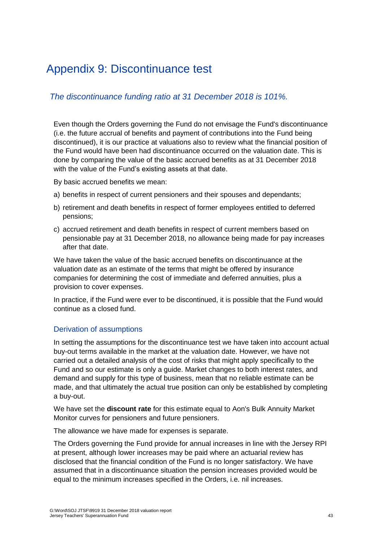### <span id="page-48-0"></span>Appendix 9: Discontinuance test

### *The discontinuance funding ratio at 31 December 2018 is 101%.*

Even though the Orders governing the Fund do not envisage the Fund's discontinuance (i.e. the future accrual of benefits and payment of contributions into the Fund being discontinued), it is our practice at valuations also to review what the financial position of the Fund would have been had discontinuance occurred on the valuation date. This is done by comparing the value of the basic accrued benefits as at 31 December 2018 with the value of the Fund's existing assets at that date.

By basic accrued benefits we mean:

- a) benefits in respect of current pensioners and their spouses and dependants;
- b) retirement and death benefits in respect of former employees entitled to deferred pensions;
- c) accrued retirement and death benefits in respect of current members based on pensionable pay at 31 December 2018, no allowance being made for pay increases after that date.

We have taken the value of the basic accrued benefits on discontinuance at the valuation date as an estimate of the terms that might be offered by insurance companies for determining the cost of immediate and deferred annuities, plus a provision to cover expenses.

In practice, if the Fund were ever to be discontinued, it is possible that the Fund would continue as a closed fund.

### Derivation of assumptions

In setting the assumptions for the discontinuance test we have taken into account actual buy-out terms available in the market at the valuation date. However, we have not carried out a detailed analysis of the cost of risks that might apply specifically to the Fund and so our estimate is only a guide. Market changes to both interest rates, and demand and supply for this type of business, mean that no reliable estimate can be made, and that ultimately the actual true position can only be established by completing a buy-out.

We have set the **discount rate** for this estimate equal to Aon's Bulk Annuity Market Monitor curves for pensioners and future pensioners.

The allowance we have made for expenses is separate.

The Orders governing the Fund provide for annual increases in line with the Jersey RPI at present, although lower increases may be paid where an actuarial review has disclosed that the financial condition of the Fund is no longer satisfactory. We have assumed that in a discontinuance situation the pension increases provided would be equal to the minimum increases specified in the Orders, i.e. nil increases.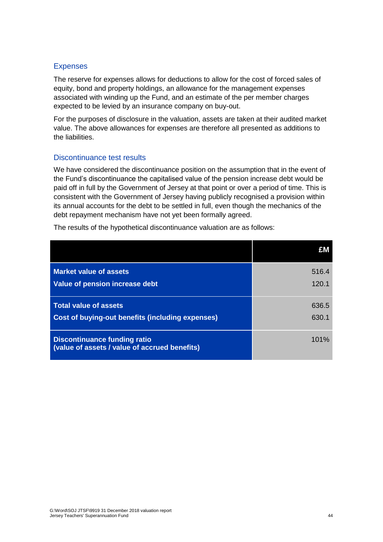### Expenses

The reserve for expenses allows for deductions to allow for the cost of forced sales of equity, bond and property holdings, an allowance for the management expenses associated with winding up the Fund, and an estimate of the per member charges expected to be levied by an insurance company on buy-out.

For the purposes of disclosure in the valuation, assets are taken at their audited market value. The above allowances for expenses are therefore all presented as additions to the liabilities.

### Discontinuance test results

We have considered the discontinuance position on the assumption that in the event of the Fund's discontinuance the capitalised value of the pension increase debt would be paid off in full by the Government of Jersey at that point or over a period of time. This is consistent with the Government of Jersey having publicly recognised a provision within its annual accounts for the debt to be settled in full, even though the mechanics of the debt repayment mechanism have not yet been formally agreed.

The results of the hypothetical discontinuance valuation are as follows:

|                                                                                      | £Μ    |
|--------------------------------------------------------------------------------------|-------|
| <b>Market value of assets</b>                                                        | 516.4 |
| Value of pension increase debt                                                       | 120.1 |
| <b>Total value of assets</b>                                                         | 636.5 |
| Cost of buying-out benefits (including expenses)                                     | 630.1 |
| <b>Discontinuance funding ratio</b><br>(value of assets / value of accrued benefits) | 101%  |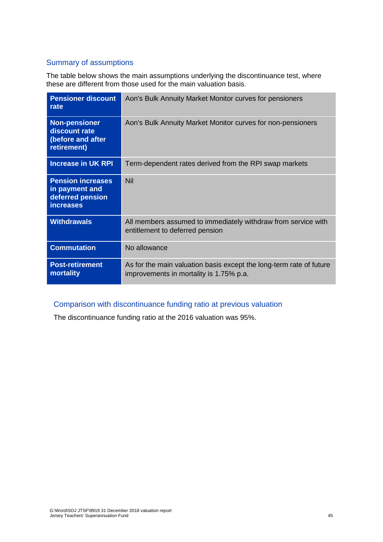### Summary of assumptions

The table below shows the main assumptions underlying the discontinuance test, where these are different from those used for the main valuation basis.

| <b>Pensioner discount</b><br>rate                                                  | Aon's Bulk Annuity Market Monitor curves for pensioners                                                        |
|------------------------------------------------------------------------------------|----------------------------------------------------------------------------------------------------------------|
| <b>Non-pensioner</b><br>discount rate<br>(before and after<br>retirement)          | Aon's Bulk Annuity Market Monitor curves for non-pensioners                                                    |
| <b>Increase in UK RPI</b>                                                          | Term-dependent rates derived from the RPI swap markets                                                         |
| <b>Pension increases</b><br>in payment and<br>deferred pension<br><b>increases</b> | <b>Nil</b>                                                                                                     |
| <b>Withdrawals</b>                                                                 | All members assumed to immediately withdraw from service with<br>entitlement to deferred pension               |
| <b>Commutation</b>                                                                 | No allowance                                                                                                   |
| <b>Post-retirement</b><br>mortality                                                | As for the main valuation basis except the long-term rate of future<br>improvements in mortality is 1.75% p.a. |

### Comparison with discontinuance funding ratio at previous valuation

The discontinuance funding ratio at the 2016 valuation was 95%.